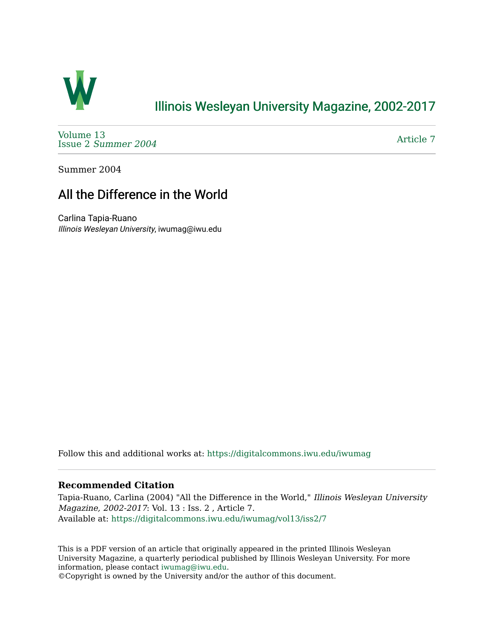

## [Illinois Wesleyan University Magazine, 2002-2017](https://digitalcommons.iwu.edu/iwumag)

[Volume 13](https://digitalcommons.iwu.edu/iwumag/vol13)  Issue 2 [Summer 2004](https://digitalcommons.iwu.edu/iwumag/vol13/iss2) 

[Article 7](https://digitalcommons.iwu.edu/iwumag/vol13/iss2/7) 

Summer 2004

## All the Difference in the World

Carlina Tapia-Ruano Illinois Wesleyan University, iwumag@iwu.edu

Follow this and additional works at: [https://digitalcommons.iwu.edu/iwumag](https://digitalcommons.iwu.edu/iwumag?utm_source=digitalcommons.iwu.edu%2Fiwumag%2Fvol13%2Fiss2%2F7&utm_medium=PDF&utm_campaign=PDFCoverPages) 

## **Recommended Citation**

Tapia-Ruano, Carlina (2004) "All the Difference in the World," Illinois Wesleyan University Magazine, 2002-2017: Vol. 13 : Iss. 2 , Article 7. Available at: [https://digitalcommons.iwu.edu/iwumag/vol13/iss2/7](https://digitalcommons.iwu.edu/iwumag/vol13/iss2/7?utm_source=digitalcommons.iwu.edu%2Fiwumag%2Fvol13%2Fiss2%2F7&utm_medium=PDF&utm_campaign=PDFCoverPages)

This is a PDF version of an article that originally appeared in the printed Illinois Wesleyan University Magazine, a quarterly periodical published by Illinois Wesleyan University. For more information, please contact [iwumag@iwu.edu](mailto:iwumag@iwu.edu).

©Copyright is owned by the University and/or the author of this document.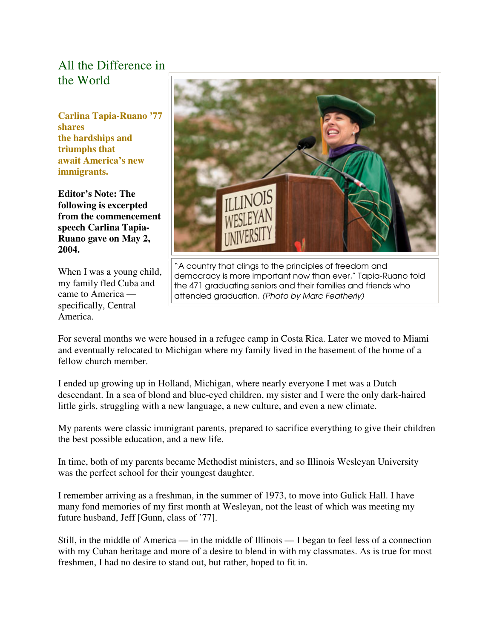## All the Difference in the World

**Carlina Tapia-Ruano '77 shares the hardships and triumphs that await America's new immigrants.** 

**Editor's Note: The following is excerpted from the commencement speech Carlina Tapia-Ruano gave on May 2, 2004.**

When I was a young child, my family fled Cuba and came to America specifically, Central America.



"A country that clings to the principles of freedom and democracy is more important now than ever," Tapia-Ruano told the 471 graduating seniors and their families and friends who attended graduation. (Photo by Marc Featherly)

For several months we were housed in a refugee camp in Costa Rica. Later we moved to Miami and eventually relocated to Michigan where my family lived in the basement of the home of a fellow church member.

I ended up growing up in Holland, Michigan, where nearly everyone I met was a Dutch descendant. In a sea of blond and blue-eyed children, my sister and I were the only dark-haired little girls, struggling with a new language, a new culture, and even a new climate.

My parents were classic immigrant parents, prepared to sacrifice everything to give their children the best possible education, and a new life.

In time, both of my parents became Methodist ministers, and so Illinois Wesleyan University was the perfect school for their youngest daughter.

I remember arriving as a freshman, in the summer of 1973, to move into Gulick Hall. I have many fond memories of my first month at Wesleyan, not the least of which was meeting my future husband, Jeff [Gunn, class of '77].

Still, in the middle of America — in the middle of Illinois — I began to feel less of a connection with my Cuban heritage and more of a desire to blend in with my classmates. As is true for most freshmen, I had no desire to stand out, but rather, hoped to fit in.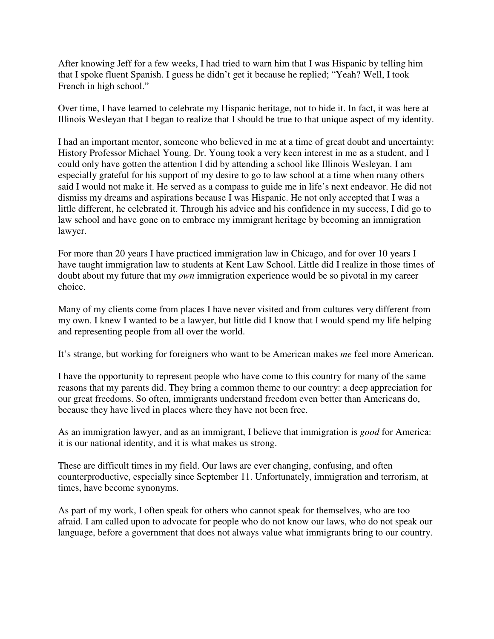After knowing Jeff for a few weeks, I had tried to warn him that I was Hispanic by telling him that I spoke fluent Spanish. I guess he didn't get it because he replied; "Yeah? Well, I took French in high school."

Over time, I have learned to celebrate my Hispanic heritage, not to hide it. In fact, it was here at Illinois Wesleyan that I began to realize that I should be true to that unique aspect of my identity.

I had an important mentor, someone who believed in me at a time of great doubt and uncertainty: History Professor Michael Young. Dr. Young took a very keen interest in me as a student, and I could only have gotten the attention I did by attending a school like Illinois Wesleyan. I am especially grateful for his support of my desire to go to law school at a time when many others said I would not make it. He served as a compass to guide me in life's next endeavor. He did not dismiss my dreams and aspirations because I was Hispanic. He not only accepted that I was a little different, he celebrated it. Through his advice and his confidence in my success, I did go to law school and have gone on to embrace my immigrant heritage by becoming an immigration lawyer.

For more than 20 years I have practiced immigration law in Chicago, and for over 10 years I have taught immigration law to students at Kent Law School. Little did I realize in those times of doubt about my future that my *own* immigration experience would be so pivotal in my career choice.

Many of my clients come from places I have never visited and from cultures very different from my own. I knew I wanted to be a lawyer, but little did I know that I would spend my life helping and representing people from all over the world.

It's strange, but working for foreigners who want to be American makes *me* feel more American.

I have the opportunity to represent people who have come to this country for many of the same reasons that my parents did. They bring a common theme to our country: a deep appreciation for our great freedoms. So often, immigrants understand freedom even better than Americans do, because they have lived in places where they have not been free.

As an immigration lawyer, and as an immigrant, I believe that immigration is *good* for America: it is our national identity, and it is what makes us strong.

These are difficult times in my field. Our laws are ever changing, confusing, and often counterproductive, especially since September 11. Unfortunately, immigration and terrorism, at times, have become synonyms.

As part of my work, I often speak for others who cannot speak for themselves, who are too afraid. I am called upon to advocate for people who do not know our laws, who do not speak our language, before a government that does not always value what immigrants bring to our country.